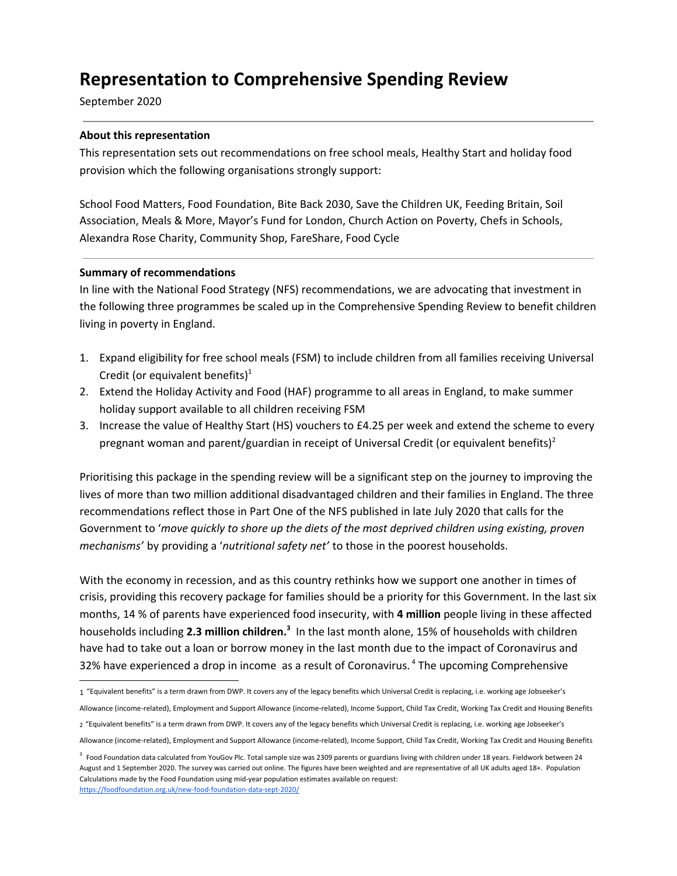# **Representation to Comprehensive Spending Review**

September 2020

## **About this representation**

This representation sets out recommendations on free school meals, Healthy Start and holiday food provision which the following organisations strongly support:

School Food Matters, Food Foundation, Bite Back 2030, Save the Children UK, Feeding Britain, Soil Association, Meals & More, Mayor's Fund for London, Church Action on Poverty, Chefs in Schools, Alexandra Rose Charity, Community Shop, FareShare, Food Cycle

#### **Summary of recommendations**

In line with the National Food Strategy (NFS) recommendations, we are advocating that investment in the following three programmes be scaled up in the Comprehensive Spending Review to benefit children living in poverty in England.

- 1. Expand eligibility for free school meals (FSM) to include children from all families receiving Universal Credit (or equivalent benefits) $<sup>1</sup>$ </sup>
- 2. Extend the Holiday Activity and Food (HAF) programme to all areas in England, to make summer holiday support available to all children receiving FSM
- 3. Increase the value of Healthy Start (HS) vouchers to £4.25 per week and extend the scheme to every pregnant woman and parent/guardian in receipt of Universal Credit (or equivalent benefits)<sup>2</sup>

Prioritising this package in the spending review will be a significant step on the journey to improving the lives of more than two million additional disadvantaged children and their families in England. The three recommendations reflect those in Part One of the NFS published in late July 2020 that calls for the Government to '*move quickly to shore up the diets of the most deprived children using existing, proven mechanisms'* by providing a '*nutritional safety net'* to those in the poorest households.

With the economy in recession, and as this country rethinks how we support one another in times of crisis, providing this recovery package for families should be a priority for this Government. In the last six months, 14 % of parents have experienced food insecurity, with **4 million** people living in these affected households including **2.3 million children. 3** In the last month alone, 15% of households with children have had to take out a loan or borrow money in the last month due to the impact of Coronavirus and 32% have experienced a drop in income as a result of Coronavirus. <sup>4</sup> The upcoming Comprehensive

Allowance (income-related), Employment and Support Allowance (income-related), Income Support, Child Tax Credit, Working Tax Credit and Housing Benefits

<sup>1</sup> "Equivalent benefits" is a term drawn from DWP. It covers any of the legacy benefits which Universal Credit is replacing, i.e. working age Jobseeker's

<sup>2</sup> "Equivalent benefits" is a term drawn from DWP. It covers any of the legacy benefits which Universal Credit is replacing, i.e. working age Jobseeker's

Allowance (income-related), Employment and Support Allowance (income-related), Income Support, Child Tax Credit, Working Tax Credit and Housing Benefits

 $3$  Food Foundation data calculated from YouGov Plc. Total sample size was 2309 parents or guardians living with children under 18 years. Fieldwork between 24 August and 1 September 2020. The survey was carried out online. The figures have been weighted and are representative of all UK adults aged 18+. Population Calculations made by the Food Foundation using mid-year population estimates available on request: <https://foodfoundation.org.uk/new-food-foundation-data-sept-2020/>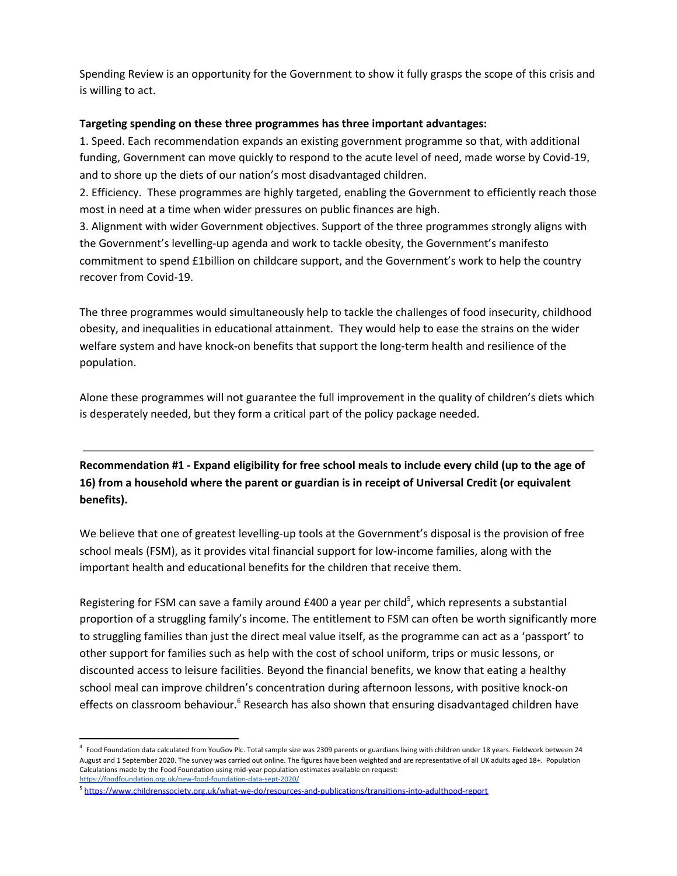Spending Review is an opportunity for the Government to show it fully grasps the scope of this crisis and is willing to act.

## **Targeting spending on these three programmes has three important advantages:**

1. Speed. Each recommendation expands an existing government programme so that, with additional funding, Government can move quickly to respond to the acute level of need, made worse by Covid-19, and to shore up the diets of our nation's most disadvantaged children.

2. Efficiency. These programmes are highly targeted, enabling the Government to efficiently reach those most in need at a time when wider pressures on public finances are high.

3. Alignment with wider Government objectives. Support of the three programmes strongly aligns with the Government's levelling-up agenda and work to tackle obesity, the Government's manifesto commitment to spend £1billion on childcare support, and the Government's work to help the country recover from Covid-19.

The three programmes would simultaneously help to tackle the challenges of food insecurity, childhood obesity, and inequalities in educational attainment. They would help to ease the strains on the wider welfare system and have knock-on benefits that support the long-term health and resilience of the population.

Alone these programmes will not guarantee the full improvement in the quality of children's diets which is desperately needed, but they form a critical part of the policy package needed.

Recommendation #1 - Expand eligibility for free school meals to include every child (up to the age of **16) from a household where the parent or guardian is in receipt of Universal Credit (or equivalent benefits).**

We believe that one of greatest levelling-up tools at the Government's disposal is the provision of free school meals (FSM), as it provides vital financial support for low-income families, along with the important health and educational benefits for the children that receive them.

Registering for FSM can save a family around £400 a year per child<sup>5</sup>, which represents a substantial proportion of a struggling family's income. The entitlement to FSM can often be worth significantly more to struggling families than just the direct meal value itself, as the programme can act as a 'passport' to other support for families such as help with the cost of school uniform, trips or music lessons, or discounted access to leisure facilities. Beyond the financial benefits, we know that eating a healthy school meal can improve children's concentration during afternoon lessons, with positive knock-on effects on classroom behaviour.<sup>6</sup> Research has also shown that ensuring disadvantaged children have

<sup>&</sup>lt;sup>4</sup> Food Foundation data calculated from YouGov Plc. Total sample size was 2309 parents or guardians living with children under 18 years. Fieldwork between 24 August and 1 September 2020. The survey was carried out online. The figures have been weighted and are representative of all UK adults aged 18+. Population Calculations made by the Food Foundation using mid-year population estimates available on request: <https://foodfoundation.org.uk/new-food-foundation-data-sept-2020/>

<sup>&</sup>lt;sup>5</sup> <https://www.childrenssociety.org.uk/what-we-do/resources-and-publications/transitions-into-adulthood-report>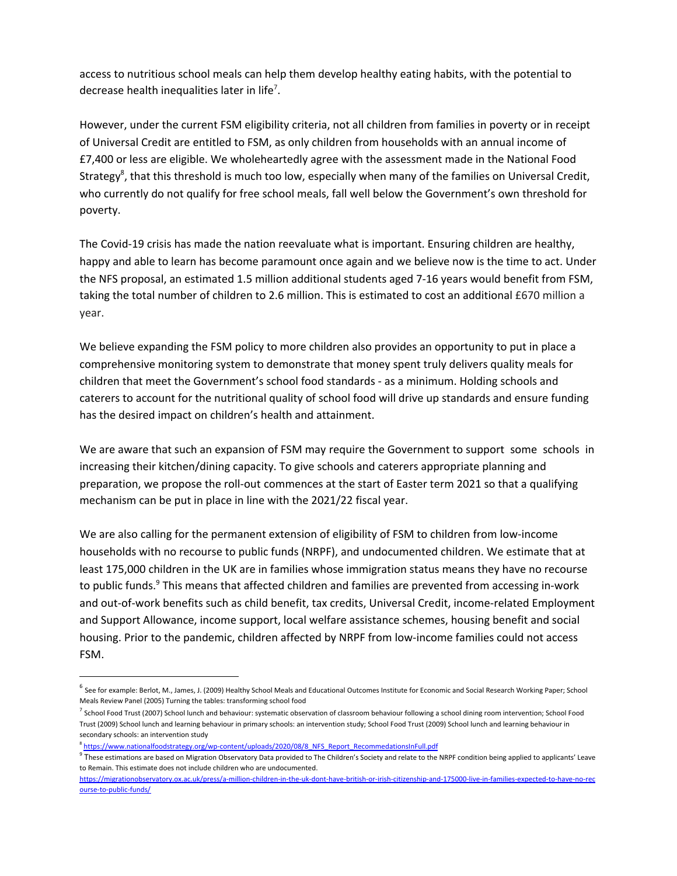access to nutritious school meals can help them develop healthy eating habits, with the potential to decrease health inequalities later in life<sup>7</sup>.

However, under the current FSM eligibility criteria, not all children from families in poverty or in receipt of Universal Credit are entitled to FSM, as only children from households with an annual income of £7,400 or less are eligible. We wholeheartedly agree with the assessment made in the National Food Strategy<sup>8</sup>, that this threshold is much too low, especially when many of the families on Universal Credit, who currently do not qualify for free school meals, fall well below the Government's own threshold for poverty.

The Covid-19 crisis has made the nation reevaluate what is important. Ensuring children are healthy, happy and able to learn has become paramount once again and we believe now is the time to act. Under the NFS proposal, an estimated 1.5 million additional students aged 7-16 years would benefit from FSM, taking the total number of children to 2.6 million. This is estimated to cost an additional £670 million a year.

We believe expanding the FSM policy to more children also provides an opportunity to put in place a comprehensive monitoring system to demonstrate that money spent truly delivers quality meals for children that meet the Government's school food standards - as a minimum. Holding schools and caterers to account for the nutritional quality of school food will drive up standards and ensure funding has the desired impact on children's health and attainment.

We are aware that such an expansion of FSM may require the Government to support some schools in increasing their kitchen/dining capacity. To give schools and caterers appropriate planning and preparation, we propose the roll-out commences at the start of Easter term 2021 so that a qualifying mechanism can be put in place in line with the 2021/22 fiscal year.

We are also calling for the permanent extension of eligibility of FSM to children from low-income households with no recourse to public funds (NRPF), and undocumented children. We estimate that at least 175,000 children in the UK are in families whose immigration status means they have no recourse to public funds.<sup>9</sup> This means that affected children and families are prevented from accessing in-work and out-of-work benefits such as child benefit, tax credits, Universal Credit, income-related Employment and Support Allowance, income support, local welfare assistance schemes, housing benefit and social housing. Prior to the pandemic, children affected by NRPF from low-income families could not access FSM.

<sup>&</sup>lt;sup>6</sup> See for example: Berlot, M., James, J. (2009) Healthy School Meals and Educational Outcomes Institute for Economic and Social Research Working Paper; School Meals Review Panel (2005) Turning the tables: transforming school food

 $^7$  School Food Trust (2007) School lunch and behaviour: systematic observation of classroom behaviour following a school dining room intervention; School Food Trust (2009) School lunch and learning behaviour in primary schools: an intervention study; School Food Trust (2009) School lunch and learning behaviour in secondary schools: an intervention study

<sup>&</sup>lt;sup>8</sup>[https://www.nationalfoodstrategy.org/wp-content/uploads/2020/08/8\\_NFS\\_Report\\_RecommedationsInFull.pdf](https://www.nationalfoodstrategy.org/wp-content/uploads/2020/08/8_NFS_Report_RecommedationsInFull.pdf)

<sup>&</sup>lt;sup>9</sup> These estimations are based on Migration Observatory Data provided to The Children's Society and relate to the NRPF condition being applied to applicants' Leave to Remain. This estimate does not include children who are undocumented.

[https://migrationobservatory.ox.ac.uk/press/a-million-children-in-the-uk-dont-have-british-or-irish-citizenship-and-175000-live-in-families-expected-to-have-no-rec](https://migrationobservatory.ox.ac.uk/press/a-million-children-in-the-uk-dont-have-british-or-irish-citizenship-and-175000-live-in-families-expected-to-have-no-recourse-to-public-funds/) [ourse-to-public-funds/](https://migrationobservatory.ox.ac.uk/press/a-million-children-in-the-uk-dont-have-british-or-irish-citizenship-and-175000-live-in-families-expected-to-have-no-recourse-to-public-funds/)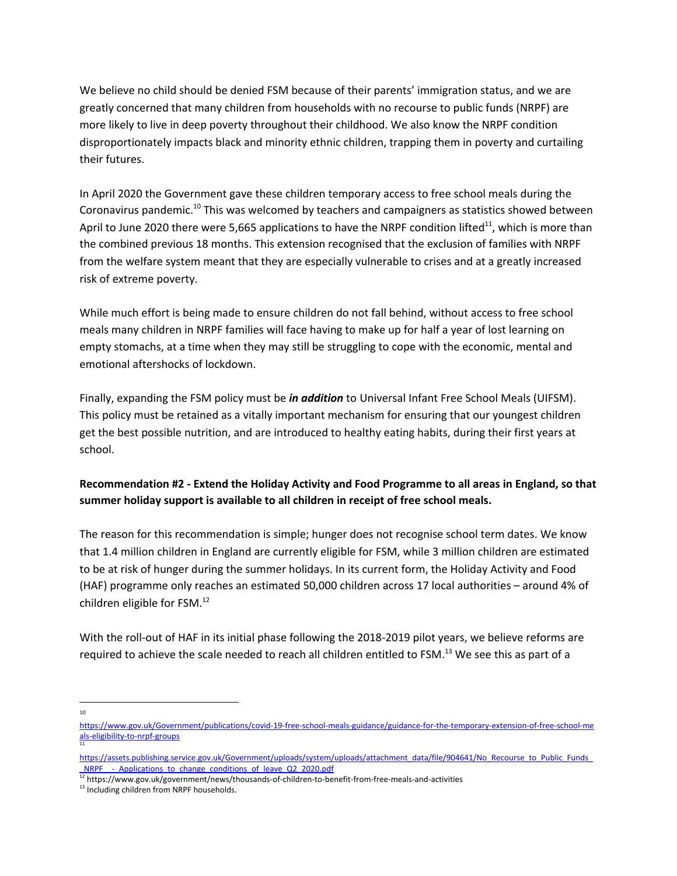We believe no child should be denied FSM because of their parents' immigration status, and we are greatly concerned that many children from households with no recourse to public funds (NRPF) are more likely to live in deep poverty throughout their childhood. We also know the NRPF condition disproportionately impacts black and minority ethnic children, trapping them in poverty and curtailing their futures.

In April 2020 the Government gave these children temporary access to free school meals during the Coronavirus pandemic.<sup>10</sup> This was welcomed by teachers and campaigners as statistics showed between April to June 2020 there were 5,665 applications to have the NRPF condition lifted<sup>11</sup>, which is more than the combined previous 18 months. This extension recognised that the exclusion of families with NRPF from the welfare system meant that they are especially vulnerable to crises and at a greatly increased risk of extreme poverty.

While much effort is being made to ensure children do not fall behind, without access to free school meals many children in NRPF families will face having to make up for half a year of lost learning on empty stomachs, at a time when they may still be struggling to cope with the economic, mental and emotional aftershocks of lockdown.

Finally, expanding the FSM policy must be *in addition* to Universal Infant Free School Meals (UIFSM). This policy must be retained as a vitally important mechanism for ensuring that our youngest children get the best possible nutrition, and are introduced to healthy eating habits, during their first years at school.

# **Recommendation #2 - Extend the Holiday Activity and Food Programme to all areas in England, so that summer holiday support is available to all children in receipt of free school meals.**

The reason for this recommendation is simple; hunger does not recognise school term dates. We know that 1.4 million children in England are currently eligible for FSM, while 3 million children are estimated to be at risk of hunger during the summer holidays. In its current form, the Holiday Activity and Food (HAF) programme only reaches an estimated 50,000 children across 17 local authorities – around 4% of children eligible for FSM. 12

With the roll-out of HAF in its initial phase following the 2018-2019 pilot years, we believe reforms are required to achieve the scale needed to reach all children entitled to FSM.<sup>13</sup> We see this as part of a

10

[https://www.gov.uk/Government/publications/covid-19-free-school-meals-guidance/guidance-for-the-temporary-extension-of-free-school-me](https://www.gov.uk/government/publications/covid-19-free-school-meals-guidance/guidance-for-the-temporary-extension-of-free-school-meals-eligibility-to-nrpf-groups) [als-eligibility-to-nrpf-groups](https://www.gov.uk/government/publications/covid-19-free-school-meals-guidance/guidance-for-the-temporary-extension-of-free-school-meals-eligibility-to-nrpf-groups) 11

https://assets.publishing.service.gov.uk/Government/uploads/system/uploads/attachment\_data/file/904641/No\_Recourse\_to\_Public\_Funds NRPF - Applications to change conditions of leave Q2 2020.pdf

<sup>12</sup> https://www.gov.uk/government/news/thousands-of-children-to-benefit-from-free-meals-and-activities

<sup>&</sup>lt;sup>13</sup> Including children from NRPF households.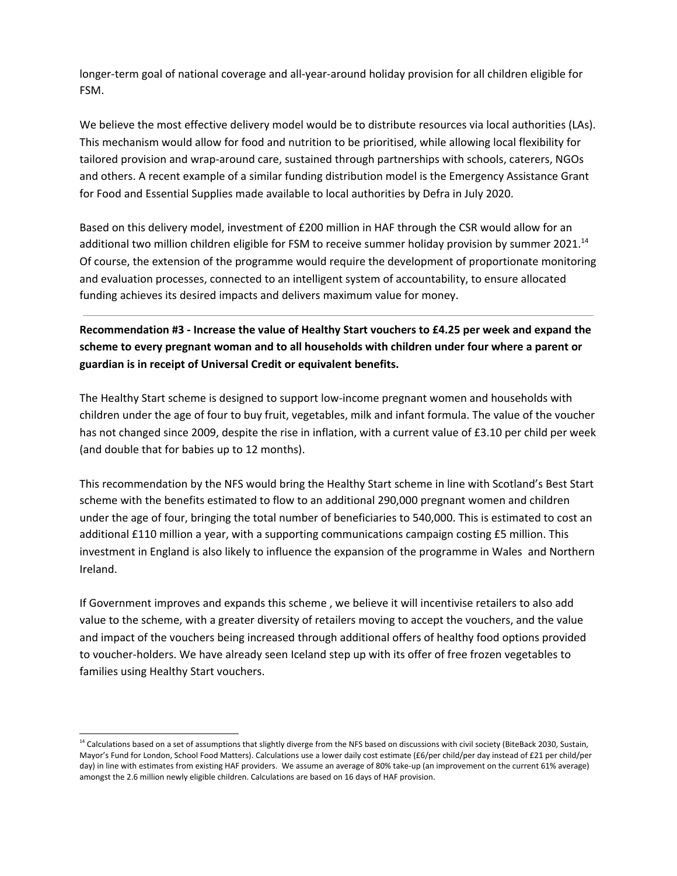longer-term goal of national coverage and all-year-around holiday provision for all children eligible for FSM.

We believe the most effective delivery model would be to distribute resources via local authorities (LAs). This mechanism would allow for food and nutrition to be prioritised, while allowing local flexibility for tailored provision and wrap-around care, sustained through partnerships with schools, caterers, NGOs and others. A recent example of a similar funding distribution model is the Emergency Assistance Grant for Food and Essential Supplies made available to local authorities by Defra in July 2020.

Based on this delivery model, investment of £200 million in HAF through the CSR would allow for an additional two million children eligible for FSM to receive summer holiday provision by summer 2021.<sup>14</sup> Of course, the extension of the programme would require the development of proportionate monitoring and evaluation processes, connected to an intelligent system of accountability, to ensure allocated funding achieves its desired impacts and delivers maximum value for money.

**Recommendation #3 - Increase the value of Healthy Start vouchers to £4.25 per week and expand the scheme to every pregnant woman and to all households with children under four where a parent or guardian is in receipt of Universal Credit or equivalent benefits.**

The Healthy Start scheme is designed to support low-income pregnant women and households with children under the age of four to buy fruit, vegetables, milk and infant formula. The value of the voucher has not changed since 2009, despite the rise in inflation, with a current value of £3.10 per child per week (and double that for babies up to 12 months).

This recommendation by the NFS would bring the Healthy Start scheme in line with Scotland's Best Start scheme with the benefits estimated to flow to an additional 290,000 pregnant women and children under the age of four, bringing the total number of beneficiaries to 540,000. This is estimated to cost an additional £110 million a year, with a supporting communications campaign costing £5 million. This investment in England is also likely to influence the expansion of the programme in Wales and Northern Ireland.

If Government improves and expands this scheme , we believe it will incentivise retailers to also add value to the scheme, with a greater diversity of retailers moving to accept the vouchers, and the value and impact of the vouchers being increased through additional offers of healthy food options provided to voucher-holders. We have already seen Iceland step up with its offer of free frozen vegetables to families using Healthy Start vouchers.

<sup>&</sup>lt;sup>14</sup> Calculations based on a set of assumptions that slightly diverge from the NFS based on discussions with civil society (BiteBack 2030, Sustain, Mayor's Fund for London, School Food Matters). Calculations use a lower daily cost estimate (£6/per child/per day instead of £21 per child/per day) in line with estimates from existing HAF providers. We assume an average of 80% take-up (an improvement on the current 61% average) amongst the 2.6 million newly eligible children. Calculations are based on 16 days of HAF provision.